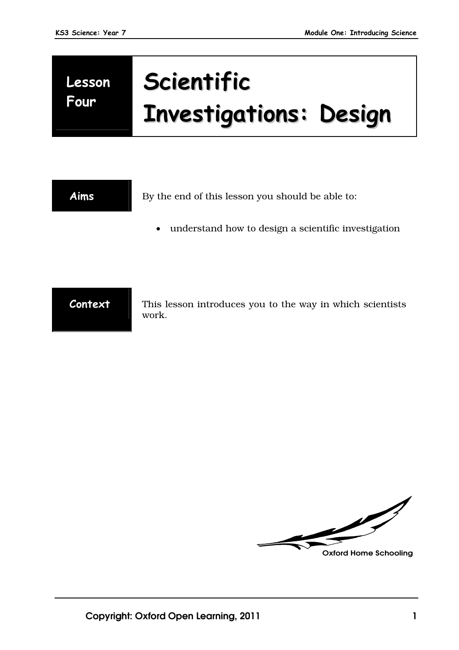# **Lesson Four**

# **Scientific Investigations: Design**

| Aims    | By the end of this lesson you should be able to:                   |
|---------|--------------------------------------------------------------------|
|         | understand how to design a scientific investigation<br>$\bullet$   |
|         |                                                                    |
|         |                                                                    |
| Context | This lesson introduces you to the way in which scientists<br>work. |

 $\sqrt{\frac{2}{\pi}}$ **Oxford Home Schooling**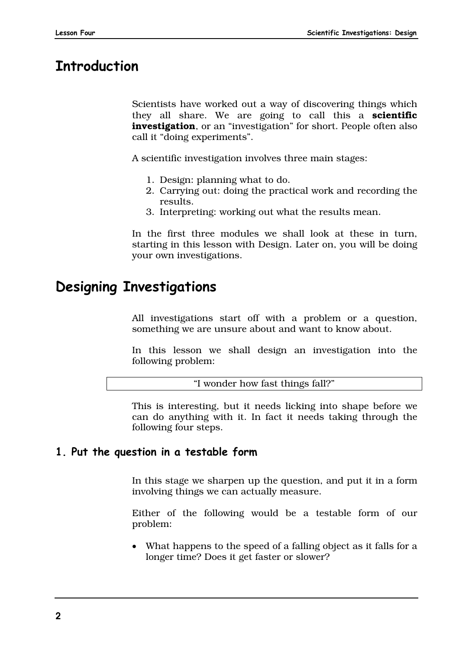# **Introduction**

Scientists have worked out a way of discovering things which they all share. We are going to call this a **scientific investigation**, or an "investigation" for short. People often also call it "doing experiments".

A scientific investigation involves three main stages:

- 1. Design: planning what to do.
- 2. Carrying out: doing the practical work and recording the results.
- 3. Interpreting: working out what the results mean.

In the first three modules we shall look at these in turn, starting in this lesson with Design. Later on, you will be doing your own investigations.

# **Designing Investigations**

All investigations start off with a problem or a question, something we are unsure about and want to know about.

In this lesson we shall design an investigation into the following problem:

"I wonder how fast things fall?"

This is interesting, but it needs licking into shape before we can do anything with it. In fact it needs taking through the following four steps.

#### **1. Put the question in a testable form**

In this stage we sharpen up the question, and put it in a form involving things we can actually measure.

Either of the following would be a testable form of our problem:

 What happens to the speed of a falling object as it falls for a longer time? Does it get faster or slower?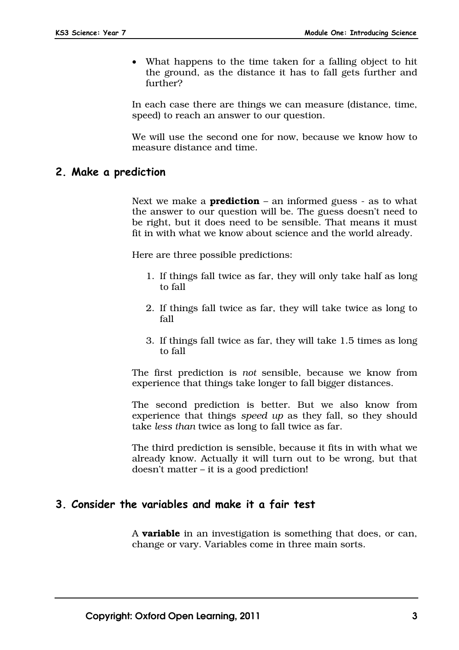What happens to the time taken for a falling object to hit the ground, as the distance it has to fall gets further and further?

In each case there are things we can measure (distance, time, speed) to reach an answer to our question.

We will use the second one for now, because we know how to measure distance and time.

#### **2. Make a prediction**

Next we make a **prediction** – an informed guess - as to what the answer to our question will be. The guess doesn't need to be right, but it does need to be sensible. That means it must fit in with what we know about science and the world already.

Here are three possible predictions:

- 1. If things fall twice as far, they will only take half as long to fall
- 2. If things fall twice as far, they will take twice as long to fall
- 3. If things fall twice as far, they will take 1.5 times as long to fall

The first prediction is *not* sensible, because we know from experience that things take longer to fall bigger distances.

The second prediction is better. But we also know from experience that things *speed up* as they fall, so they should take *less than* twice as long to fall twice as far.

The third prediction is sensible, because it fits in with what we already know. Actually it will turn out to be wrong, but that doesn't matter – it is a good prediction!

#### **3. Consider the variables and make it a fair test**

A **variable** in an investigation is something that does, or can, change or vary. Variables come in three main sorts.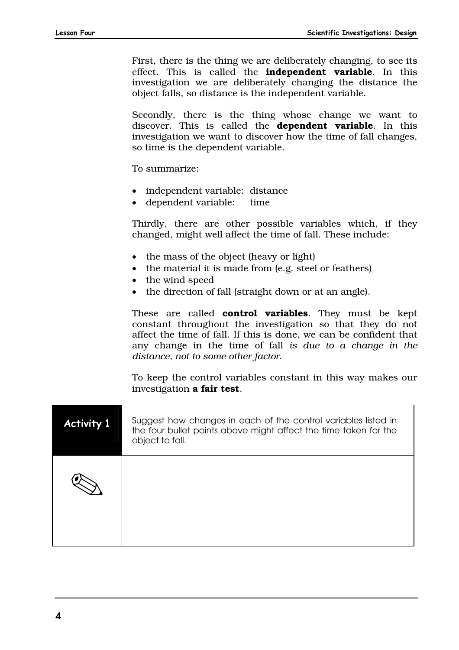First, there is the thing we are deliberately changing, to see its effect. This is called the **independent variable**. In this investigation we are deliberately changing the distance the object falls, so distance is the independent variable.

Secondly, there is the thing whose change we want to discover. This is called the **dependent variable**. In this investigation we want to discover how the time of fall changes, so time is the dependent variable.

To summarize:

- independent variable: distance
- dependent variable: time

Thirdly, there are other possible variables which, if they changed, might well affect the time of fall. These include:

- the mass of the object (heavy or light)
- $\bullet$  the material it is made from (e.g. steel or feathers)
- the wind speed
- the direction of fall (straight down or at an angle).

These are called **control variables**. They must be kept constant throughout the investigation so that they do not affect the time of fall. If this is done, we can be confident that any change in the time of fall *is due to a change in the distance, not to some other factor*.

To keep the control variables constant in this way makes our investigation **a fair test**.

| <b>Activity 1</b> | Suggest how changes in each of the control variables listed in<br>the four bullet points above might affect the time taken for the<br>object to fall. |
|-------------------|-------------------------------------------------------------------------------------------------------------------------------------------------------|
|                   |                                                                                                                                                       |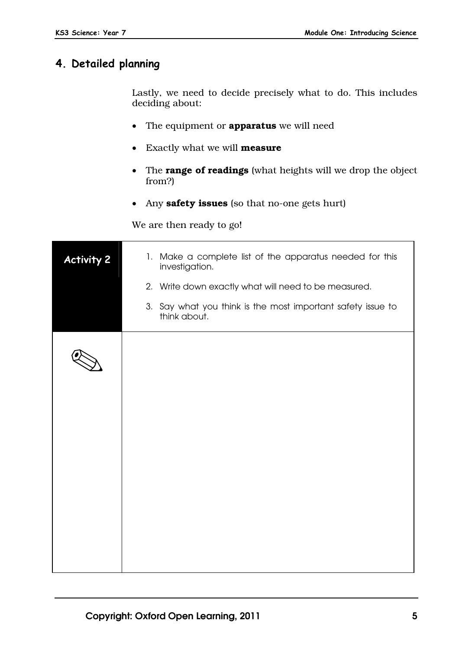#### **4. Detailed planning**

Lastly, we need to decide precisely what to do. This includes deciding about:

- The equipment or **apparatus** we will need
- Exactly what we will **measure**
- The **range of readings** (what heights will we drop the object from?)
- Any **safety issues** (so that no-one gets hurt)

We are then ready to go!

| <b>Activity 2</b> | 1. Make a complete list of the apparatus needed for this<br>investigation.<br>2. Write down exactly what will need to be measured.<br>3. Say what you think is the most important safety issue to<br>think about. |
|-------------------|-------------------------------------------------------------------------------------------------------------------------------------------------------------------------------------------------------------------|
|                   |                                                                                                                                                                                                                   |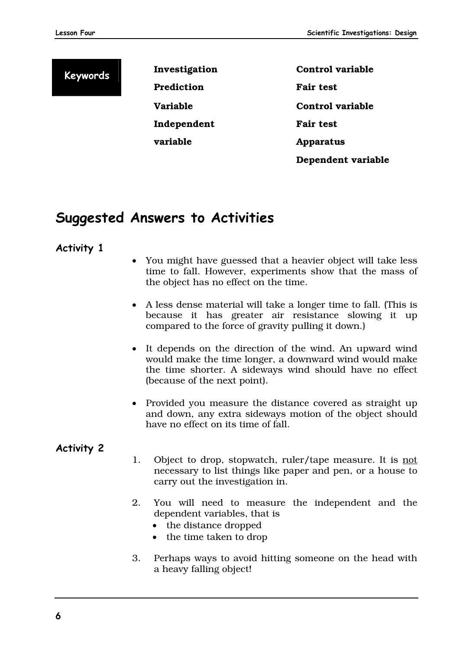**Keywords Investigation Prediction Variable Independent variable** 

**Control variable Fair test Control variable Fair test Apparatus Dependent variable** 

# **Suggested Answers to Activities**

#### **Activity 1**

- You might have guessed that a heavier object will take less time to fall. However, experiments show that the mass of the object has no effect on the time.
- A less dense material will take a longer time to fall. (This is because it has greater air resistance slowing it up compared to the force of gravity pulling it down.)
- It depends on the direction of the wind. An upward wind would make the time longer, a downward wind would make the time shorter. A sideways wind should have no effect (because of the next point).
- Provided you measure the distance covered as straight up and down, any extra sideways motion of the object should have no effect on its time of fall.

#### **Activity 2**

- 1. Object to drop, stopwatch, ruler/tape measure. It is not necessary to list things like paper and pen, or a house to carry out the investigation in.
- 2. You will need to measure the independent and the dependent variables, that is
	- the distance dropped
	- the time taken to drop
- 3. Perhaps ways to avoid hitting someone on the head with a heavy falling object!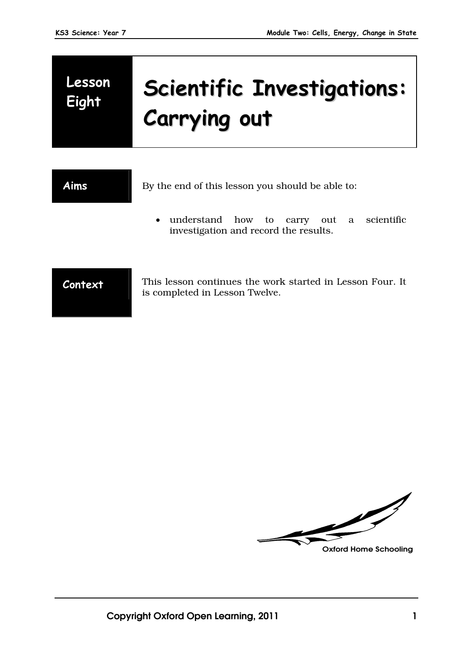# **Lesson**

# **Eight Scientific Investigations: Carrying out**

Aims By the end of this lesson you should be able to:

 understand how to carry out a scientific investigation and record the results.

**Context** This lesson continues the work started in Lesson Four. It is completed in Lesson Twelve.

**Oxford Home Schooling**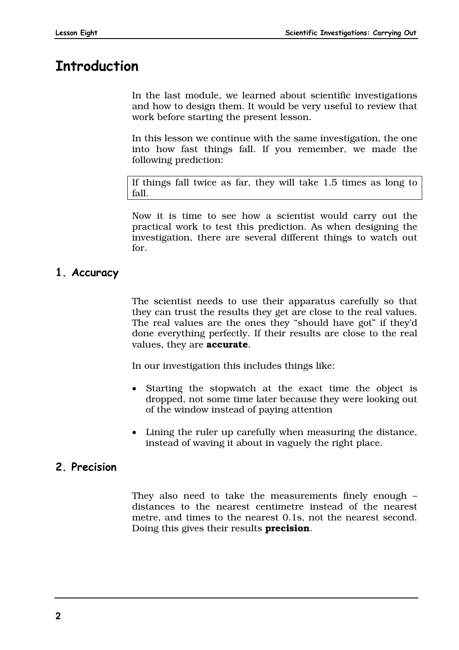# **Introduction**

In the last module, we learned about scientific investigations and how to design them. It would be very useful to review that work before starting the present lesson.

In this lesson we continue with the same investigation, the one into how fast things fall. If you remember, we made the following prediction:

If things fall twice as far, they will take 1.5 times as long to fall.

Now it is time to see how a scientist would carry out the practical work to test this prediction. As when designing the investigation, there are several different things to watch out for.

### **1. Accuracy**

The scientist needs to use their apparatus carefully so that they can trust the results they get are close to the real values. The real values are the ones they "should have got" if they'd done everything perfectly. If their results are close to the real values, they are **accurate**.

In our investigation this includes things like:

- Starting the stopwatch at the exact time the object is dropped, not some time later because they were looking out of the window instead of paying attention
- Lining the ruler up carefully when measuring the distance, instead of waving it about in vaguely the right place.

#### **2. Precision**

They also need to take the measurements finely enough – distances to the nearest centimetre instead of the nearest metre, and times to the nearest 0.1s, not the nearest second. Doing this gives their results **precision**.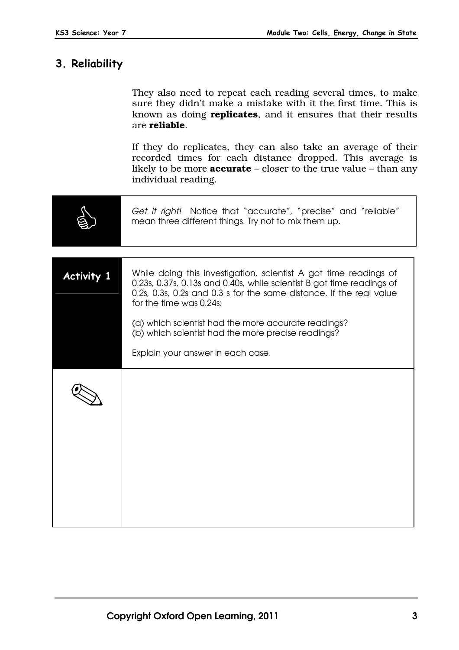# **3. Reliability**

|                   | They also need to repeat each reading several times, to make<br>sure they didn't make a mistake with it the first time. This is<br>known as doing <b>replicates</b> , and it ensures that their results<br>are reliable.                    |
|-------------------|---------------------------------------------------------------------------------------------------------------------------------------------------------------------------------------------------------------------------------------------|
|                   | If they do replicates, they can also take an average of their<br>recorded times for each distance dropped. This average is<br>likely to be more <b>accurate</b> – closer to the true value – than any<br>individual reading.                |
|                   | Get it right! Notice that "accurate", "precise" and "reliable"<br>mean three different things. Try not to mix them up.                                                                                                                      |
|                   |                                                                                                                                                                                                                                             |
| <b>Activity 1</b> | While doing this investigation, scientist A got time readings of<br>0.23s, 0.37s, 0.13s and 0.40s, while scientist B got time readings of<br>0.2s, 0.3s, 0.2s and 0.3 s for the same distance. If the real value<br>for the time was 0.24s: |
|                   | (a) which scientist had the more accurate readings?<br>(b) which scientist had the more precise readings?                                                                                                                                   |
|                   | Explain your answer in each case.                                                                                                                                                                                                           |
|                   |                                                                                                                                                                                                                                             |
|                   |                                                                                                                                                                                                                                             |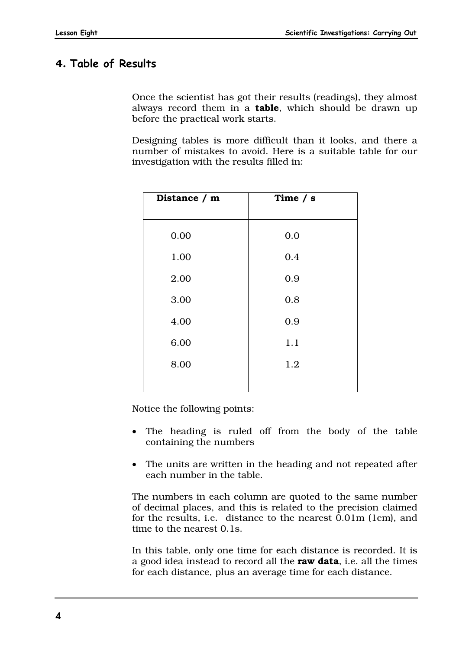### **4. Table of Results**

Once the scientist has got their results (readings), they almost always record them in a **table**, which should be drawn up before the practical work starts.

Designing tables is more difficult than it looks, and there a number of mistakes to avoid. Here is a suitable table for our investigation with the results filled in:

| Distance / m | Time $/ s$ |
|--------------|------------|
| 0.00         | 0.0        |
| 1.00         | 0.4        |
| 2.00         | 0.9        |
| 3.00         | 0.8        |
| 4.00         | 0.9        |
| 6.00         | 1.1        |
| 8.00         | 1.2        |
|              |            |

Notice the following points:

- The heading is ruled off from the body of the table containing the numbers
- The units are written in the heading and not repeated after each number in the table.

The numbers in each column are quoted to the same number of decimal places, and this is related to the precision claimed for the results, i.e. distance to the nearest 0.01m (1cm), and time to the nearest 0.1s.

In this table, only one time for each distance is recorded. It is a good idea instead to record all the **raw data**, i.e. all the times for each distance, plus an average time for each distance.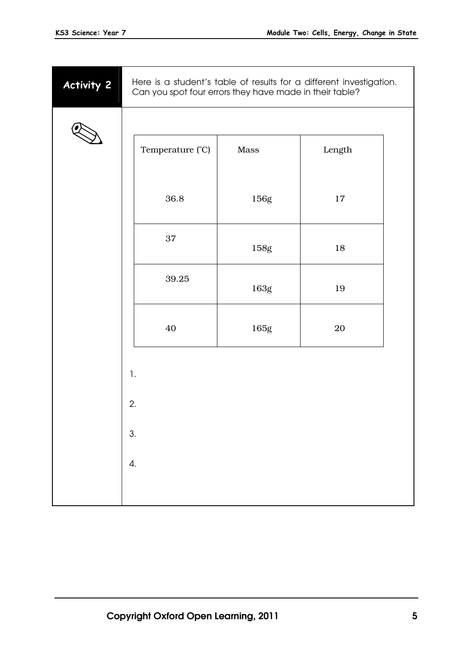| <b>Activity 2</b> |                 | Can you spot four errors they have made in their table? |      | Here is a student's table of results for a different investigation. |  |
|-------------------|-----------------|---------------------------------------------------------|------|---------------------------------------------------------------------|--|
|                   |                 |                                                         |      |                                                                     |  |
|                   |                 | Temperature (°C)                                        | Mass | ${\rm Length}$                                                      |  |
|                   |                 | 36.8                                                    | 156g | 17                                                                  |  |
|                   |                 | 37                                                      | 158g | 18                                                                  |  |
|                   |                 | 39.25                                                   | 163g | 19                                                                  |  |
|                   |                 | 40                                                      | 165g | $20\,$                                                              |  |
|                   | 1.              |                                                         |      |                                                                     |  |
|                   | 2.              |                                                         |      |                                                                     |  |
|                   | 3.              |                                                         |      |                                                                     |  |
|                   | $\mathfrak{a}.$ |                                                         |      |                                                                     |  |
|                   |                 |                                                         |      |                                                                     |  |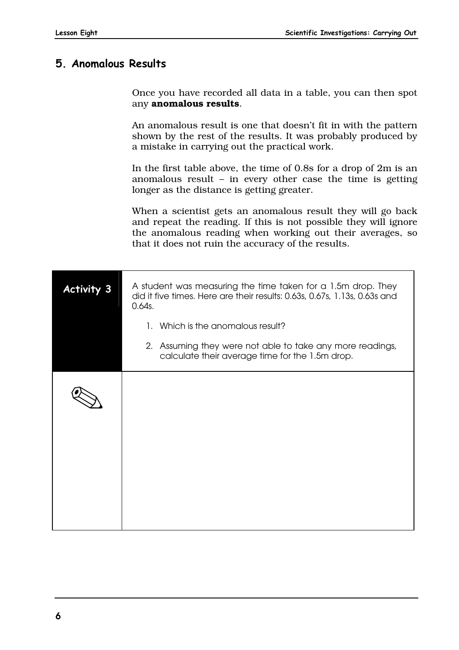## **5. Anomalous Results**

Once you have recorded all data in a table, you can then spot any **anomalous results**.

An anomalous result is one that doesn't fit in with the pattern shown by the rest of the results. It was probably produced by a mistake in carrying out the practical work.

In the first table above, the time of 0.8s for a drop of 2m is an anomalous result – in every other case the time is getting longer as the distance is getting greater.

When a scientist gets an anomalous result they will go back and repeat the reading. If this is not possible they will ignore the anomalous reading when working out their averages, so that it does not ruin the accuracy of the results.

| <b>Activity 3</b> | A student was measuring the time taken for a 1.5m drop. They<br>did it five times. Here are their results: 0.63s, 0.67s, 1.13s, 0.63s and<br>0.64s. |
|-------------------|-----------------------------------------------------------------------------------------------------------------------------------------------------|
|                   | 1. Which is the anomalous result?                                                                                                                   |
|                   | 2. Assuming they were not able to take any more readings,<br>calculate their average time for the 1.5m drop.                                        |
|                   |                                                                                                                                                     |
|                   |                                                                                                                                                     |
|                   |                                                                                                                                                     |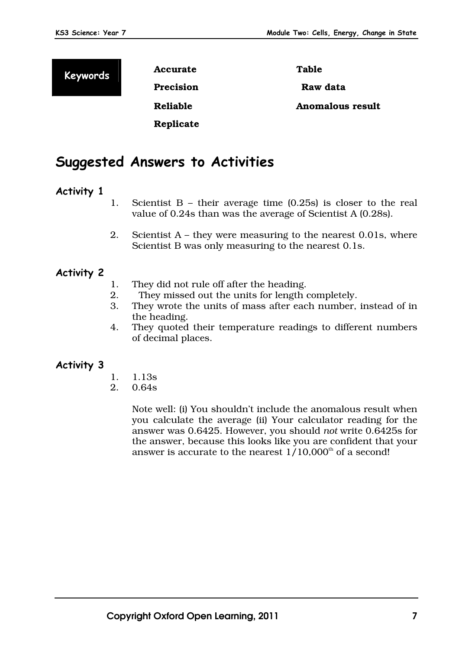**Keywords Accurate Precision Reliable Replicate**  **Table Raw data Anomalous result** 

# **Suggested Answers to Activities**

#### **Activity 1**

- 1. Scientist B their average time (0.25s) is closer to the real value of 0.24s than was the average of Scientist A (0.28s).
- 2. Scientist A they were measuring to the nearest 0.01s, where Scientist B was only measuring to the nearest 0.1s.

#### **Activity 2**

- 1. They did not rule off after the heading.
- 2. They missed out the units for length completely.
- 3. They wrote the units of mass after each number, instead of in the heading.
- 4. They quoted their temperature readings to different numbers of decimal places.

#### **Activity 3**

- 1. 1.13s
- 2. 0.64s

 Note well: (i) You shouldn't include the anomalous result when you calculate the average (ii) Your calculator reading for the answer was 0.6425. However, you should *not* write 0.6425s for the answer, because this looks like you are confident that your answer is accurate to the nearest  $1/10,000^{\text{th}}$  of a second!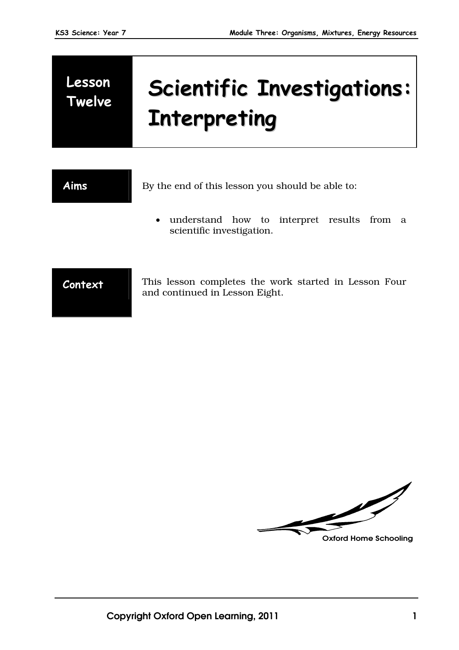# **Lesson**

# **Twelve Scientific Investigations: Interpreting**

**Aims** By the end of this lesson you should be able to:

 understand how to interpret results from a scientific investigation.

**Context** This lesson completes the work started in Lesson Four and continued in Lesson Eight.

V **Oxford Home Schooling**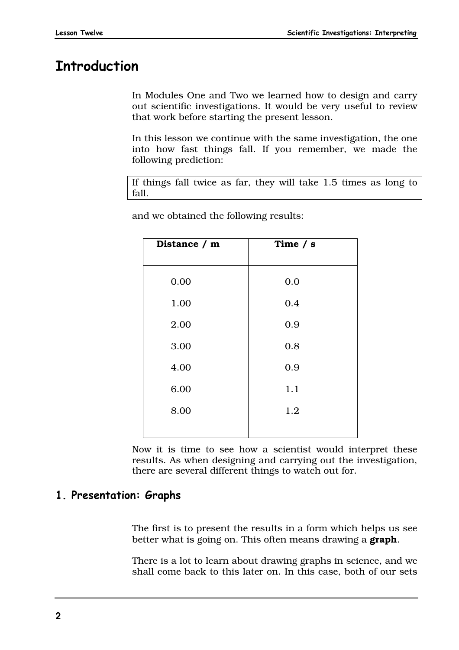# **Introduction**

In Modules One and Two we learned how to design and carry out scientific investigations. It would be very useful to review that work before starting the present lesson.

In this lesson we continue with the same investigation, the one into how fast things fall. If you remember, we made the following prediction:

If things fall twice as far, they will take 1.5 times as long to fall.

| Distance / m | Time $/ s$ |
|--------------|------------|
| 0.00         | 0.0        |
| 1.00         | 0.4        |
| 2.00         | 0.9        |
| 3.00         | 0.8        |
| 4.00         | 0.9        |
| 6.00         | 1.1        |
| 8.00         | 1.2        |
|              |            |

and we obtained the following results:

Now it is time to see how a scientist would interpret these results. As when designing and carrying out the investigation, there are several different things to watch out for.

# **1. Presentation: Graphs**

The first is to present the results in a form which helps us see better what is going on. This often means drawing a **graph**.

There is a lot to learn about drawing graphs in science, and we shall come back to this later on. In this case, both of our sets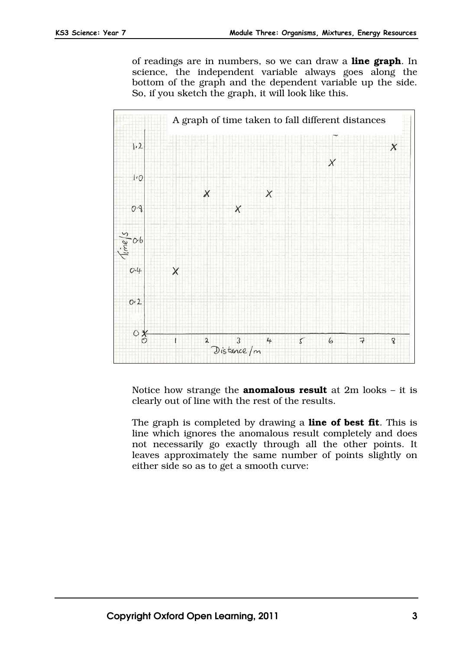of readings are in numbers, so we can draw a **line graph**. In science, the independent variable always goes along the bottom of the graph and the dependent variable up the side. So, if you sketch the graph, it will look like this.



Notice how strange the **anomalous result** at 2m looks – it is clearly out of line with the rest of the results.

The graph is completed by drawing a **line of best fit**. This is line which ignores the anomalous result completely and does not necessarily go exactly through all the other points. It leaves approximately the same number of points slightly on either side so as to get a smooth curve: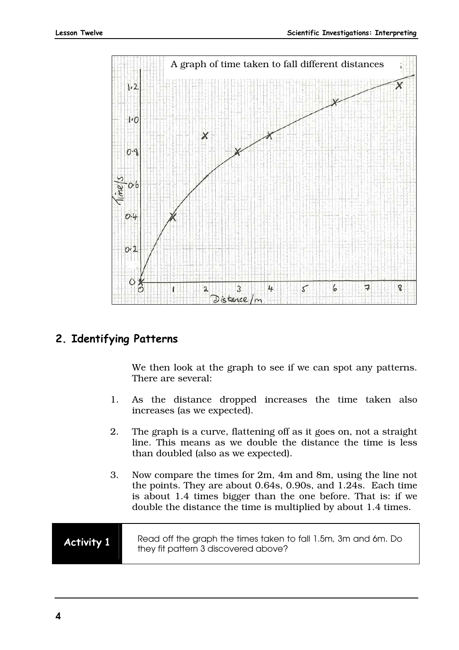

#### **2. Identifying Patterns**

We then look at the graph to see if we can spot any patterns. There are several:

- 1. As the distance dropped increases the time taken also increases (as we expected).
- 2. The graph is a curve, flattening off as it goes on, not a straight line. This means as we double the distance the time is less than doubled (also as we expected).
- 3. Now compare the times for 2m, 4m and 8m, using the line not the points. They are about 0.64s, 0.90s, and 1.24s. Each time is about 1.4 times bigger than the one before. That is: if we double the distance the time is multiplied by about 1.4 times.

### **Activity 1** Read off the graph the times taken to fall 1.5m, 3m and 6m. Do they fit pattern 3 discovered above?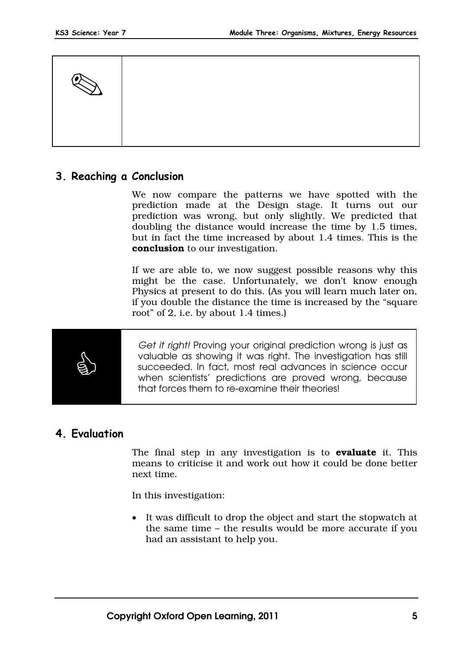

#### **3. Reaching a Conclusion**

We now compare the patterns we have spotted with the prediction made at the Design stage. It turns out our prediction was wrong, but only slightly. We predicted that doubling the distance would increase the time by 1.5 times, but in fact the time increased by about 1.4 times. This is the **conclusion** to our investigation.

If we are able to, we now suggest possible reasons why this might be the case. Unfortunately, we don't know enough Physics at present to do this. (As you will learn much later on, if you double the distance the time is increased by the "square root" of 2, i.e. by about 1.4 times.)



*Get it right!* Proving your original prediction wrong is just as valuable as showing it was right. The investigation has still succeeded. In fact, most real advances in science occur when scientists' predictions are proved wrong, because that forces them to re-examine their theories!

#### **4. Evaluation**

The final step in any investigation is to **evaluate** it. This means to criticise it and work out how it could be done better next time.

In this investigation:

 It was difficult to drop the object and start the stopwatch at the same time – the results would be more accurate if you had an assistant to help you.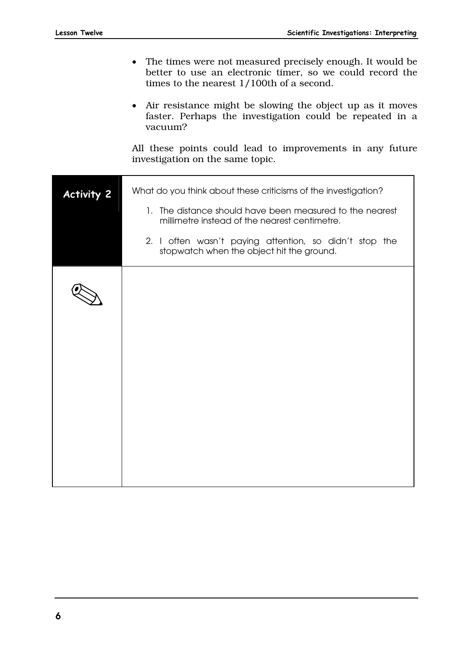- The times were not measured precisely enough. It would be better to use an electronic timer, so we could record the times to the nearest 1/100th of a second.
- Air resistance might be slowing the object up as it moves faster. Perhaps the investigation could be repeated in a vacuum?

All these points could lead to improvements in any future investigation on the same topic.

| <b>Activity 2</b> | What do you think about these criticisms of the investigation?<br>1. The distance should have been measured to the nearest                           |
|-------------------|------------------------------------------------------------------------------------------------------------------------------------------------------|
|                   | millimetre instead of the nearest centimetre.<br>2. I often wasn't paying attention, so didn't stop the<br>stopwatch when the object hit the ground. |
|                   |                                                                                                                                                      |
|                   |                                                                                                                                                      |
|                   |                                                                                                                                                      |
|                   |                                                                                                                                                      |
|                   |                                                                                                                                                      |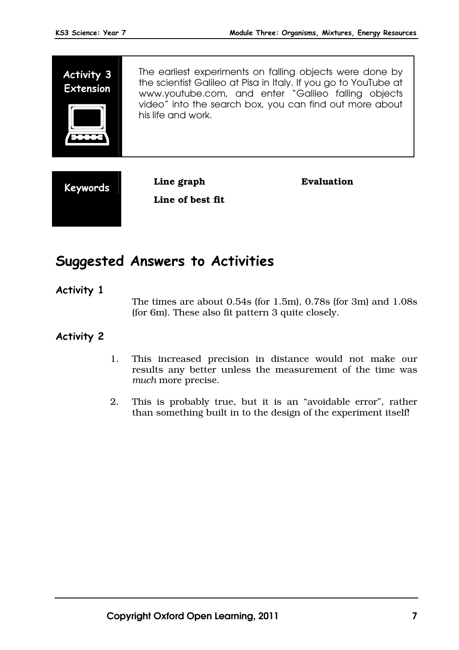



**Line of best fit** 

**Evaluation** 

# **Suggested Answers to Activities**

#### **Activity 1**

The times are about 0.54s (for 1.5m), 0.78s (for 3m) and 1.08s (for 6m). These also fit pattern 3 quite closely.

#### **Activity 2**

- 1. This increased precision in distance would not make our results any better unless the measurement of the time was *much* more precise.
- 2. This is probably true, but it is an "avoidable error", rather than something built in to the design of the experiment itself!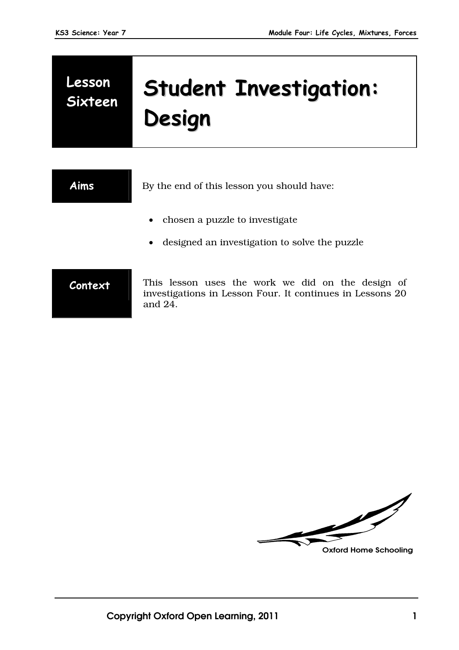# **Lesson Sixteen Student Investigation: Design**

**Aims** By the end of this lesson you should have: • chosen a puzzle to investigate designed an investigation to solve the puzzle **Context** This lesson uses the work we did on the design of investigations in Lesson Four. It continues in Lessons 20 and 24.

U **Oxford Home Schooling**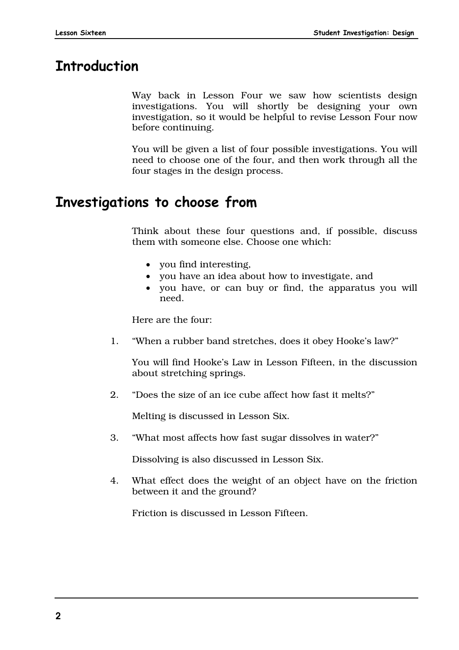# **Introduction**

Way back in Lesson Four we saw how scientists design investigations. You will shortly be designing your own investigation, so it would be helpful to revise Lesson Four now before continuing.

You will be given a list of four possible investigations. You will need to choose one of the four, and then work through all the four stages in the design process.

# **Investigations to choose from**

Think about these four questions and, if possible, discuss them with someone else. Choose one which:

- you find interesting,
- you have an idea about how to investigate, and
- you have, or can buy or find, the apparatus you will need.

Here are the four:

1. "When a rubber band stretches, does it obey Hooke's law?"

You will find Hooke's Law in Lesson Fifteen, in the discussion about stretching springs.

2. "Does the size of an ice cube affect how fast it melts?"

Melting is discussed in Lesson Six.

3. "What most affects how fast sugar dissolves in water?"

Dissolving is also discussed in Lesson Six.

4. What effect does the weight of an object have on the friction between it and the ground?

Friction is discussed in Lesson Fifteen.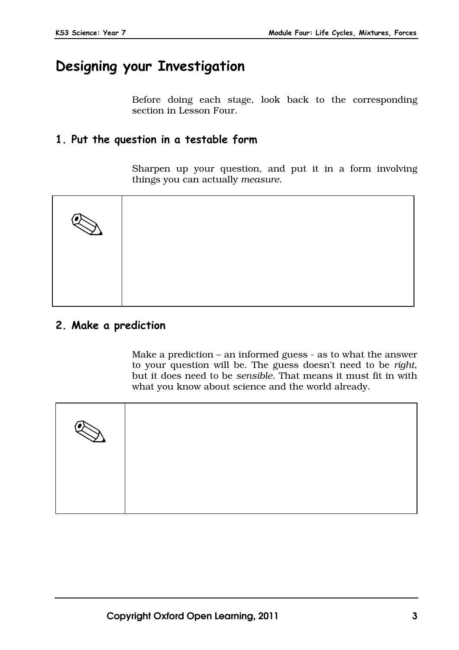# **Designing your Investigation**

Before doing each stage, look back to the corresponding section in Lesson Four.

### **1. Put the question in a testable form**

Sharpen up your question, and put it in a form involving things you can actually *measure*.



## **2. Make a prediction**

Make a prediction – an informed guess - as to what the answer to your question will be. The guess doesn't need to be *right*, but it does need to be *sensible*. That means it must fit in with what you know about science and the world already.

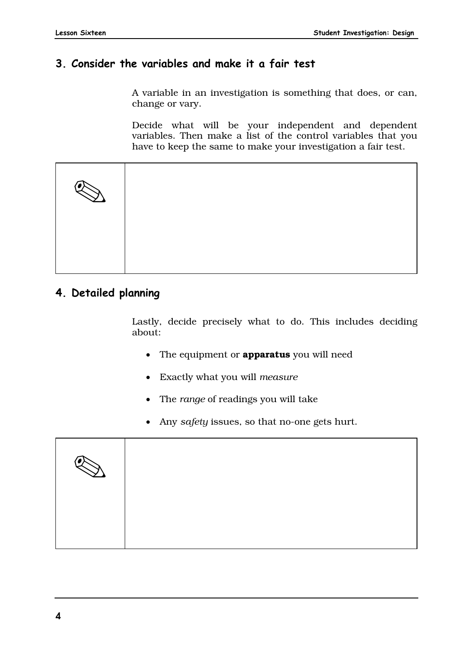#### **3. Consider the variables and make it a fair test**

A variable in an investigation is something that does, or can, change or vary.

Decide what will be your independent and dependent variables. Then make a list of the control variables that you have to keep the same to make your investigation a fair test.



### **4. Detailed planning**

Lastly, decide precisely what to do. This includes deciding about:

- The equipment or **apparatus** you will need
- Exactly what you will *measure*
- The *range* of readings you will take
- Any *safety* issues, so that no-one gets hurt.

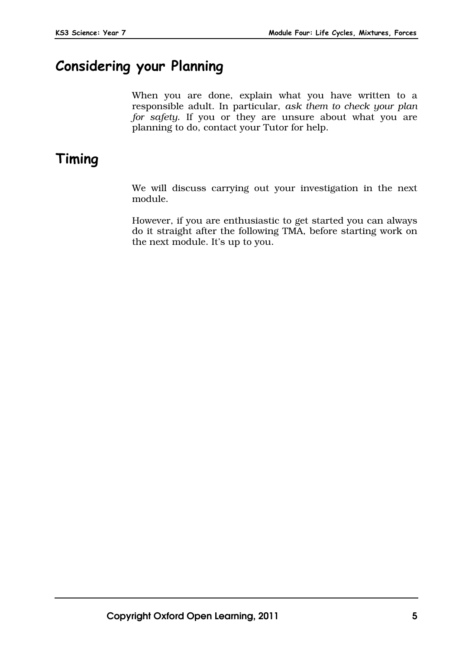# **Considering your Planning**

When you are done, explain what you have written to a responsible adult. In particular, *ask them to check your plan for safety*. If you or they are unsure about what you are planning to do, contact your Tutor for help.

# **Timing**

We will discuss carrying out your investigation in the next module.

However, if you are enthusiastic to get started you can always do it straight after the following TMA, before starting work on the next module. It's up to you.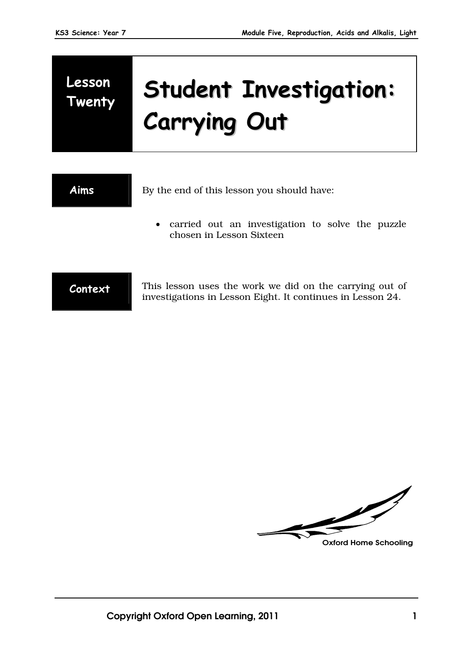# **Lesson Twenty Student Investigation: Carrying Out**

| <b>Aims</b> | By the end of this lesson you should have:                                                                            |
|-------------|-----------------------------------------------------------------------------------------------------------------------|
|             | • carried out an investigation to solve the puzzle<br>chosen in Lesson Sixteen                                        |
| Context     | This lesson uses the work we did on the carrying out of<br>investigations in Lesson Eight. It continues in Lesson 24. |

**Oxford Home Schooling**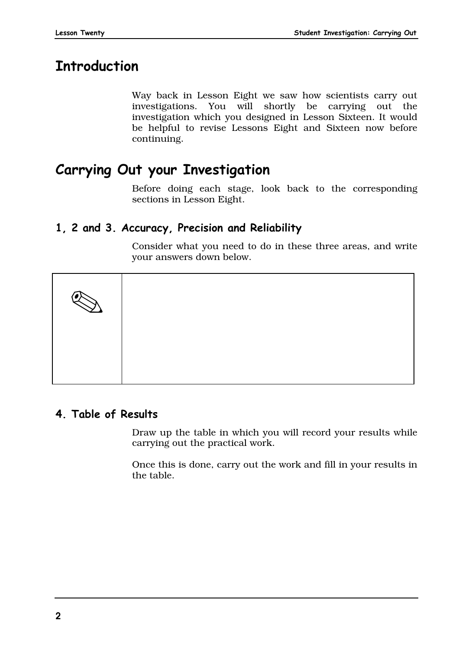# **Introduction**

Way back in Lesson Eight we saw how scientists carry out investigations. You will shortly be carrying out the investigation which you designed in Lesson Sixteen. It would be helpful to revise Lessons Eight and Sixteen now before continuing.

# **Carrying Out your Investigation**

Before doing each stage, look back to the corresponding sections in Lesson Eight.

# **1, 2 and 3. Accuracy, Precision and Reliability**

Consider what you need to do in these three areas, and write your answers down below.



# **4. Table of Results**

Draw up the table in which you will record your results while carrying out the practical work.

Once this is done, carry out the work and fill in your results in the table.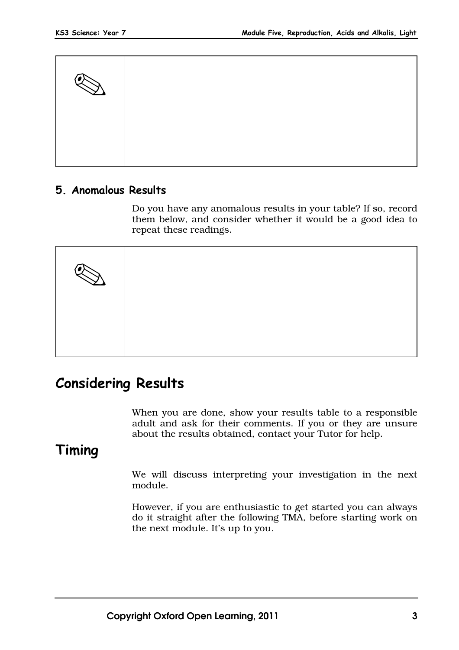

### **5. Anomalous Results**

Do you have any anomalous results in your table? If so, record them below, and consider whether it would be a good idea to repeat these readings.



# **Considering Results**

When you are done, show your results table to a responsible adult and ask for their comments. If you or they are unsure about the results obtained, contact your Tutor for help.

# **Timing**

We will discuss interpreting your investigation in the next module.

However, if you are enthusiastic to get started you can always do it straight after the following TMA, before starting work on the next module. It's up to you.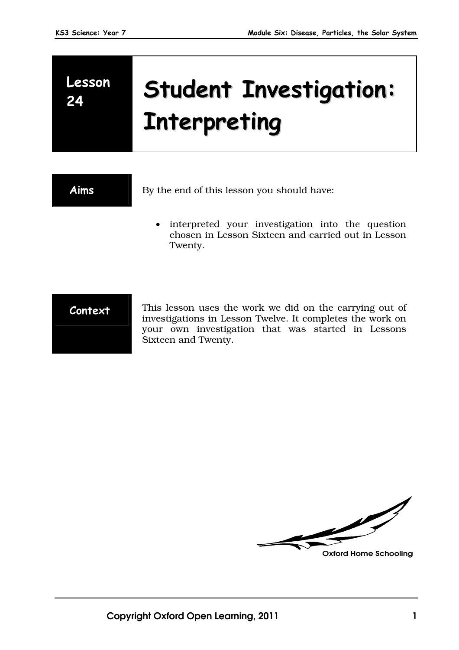# **Lesson Lesson** Student Investigation: **Interpreting**

**Aims** By the end of this lesson you should have:

• interpreted your investigation into the question chosen in Lesson Sixteen and carried out in Lesson Twenty.



**Context** This lesson uses the work we did on the carrying out of investigations in Lesson Twelve. It completes the work on your own investigation that was started in Lessons Sixteen and Twenty.

 $\overline{\mathscr{U}}$ **Oxford Home Schooling**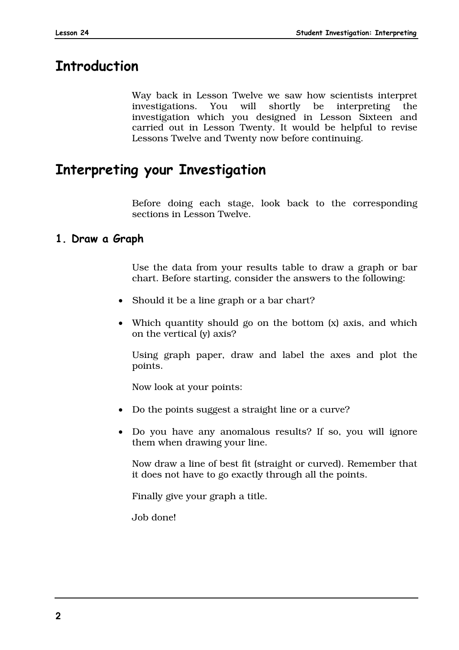# **Introduction**

Way back in Lesson Twelve we saw how scientists interpret investigations. You will shortly be interpreting the investigation which you designed in Lesson Sixteen and carried out in Lesson Twenty. It would be helpful to revise Lessons Twelve and Twenty now before continuing.

# **Interpreting your Investigation**

Before doing each stage, look back to the corresponding sections in Lesson Twelve.

#### **1. Draw a Graph**

Use the data from your results table to draw a graph or bar chart. Before starting, consider the answers to the following:

- Should it be a line graph or a bar chart?
- Which quantity should go on the bottom (x) axis, and which on the vertical (y) axis?

Using graph paper, draw and label the axes and plot the points.

Now look at your points:

- Do the points suggest a straight line or a curve?
- Do you have any anomalous results? If so, you will ignore them when drawing your line.

Now draw a line of best fit (straight or curved). Remember that it does not have to go exactly through all the points.

Finally give your graph a title.

Job done!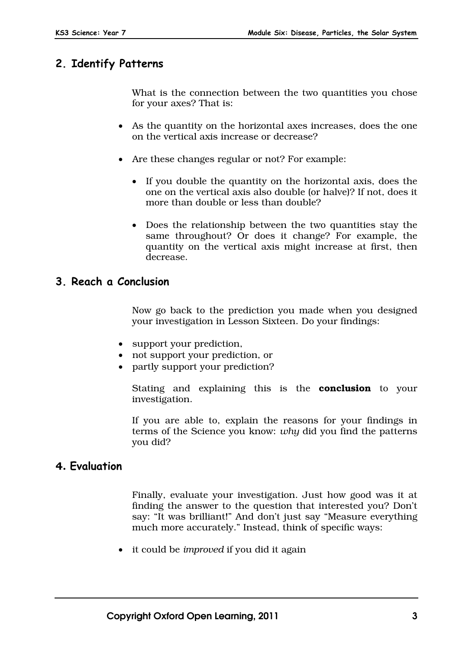## **2. Identify Patterns**

What is the connection between the two quantities you chose for your axes? That is:

- As the quantity on the horizontal axes increases, does the one on the vertical axis increase or decrease?
- Are these changes regular or not? For example:
	- If you double the quantity on the horizontal axis, does the one on the vertical axis also double (or halve)? If not, does it more than double or less than double?
	- Does the relationship between the two quantities stay the same throughout? Or does it change? For example, the quantity on the vertical axis might increase at first, then decrease.

#### **3. Reach a Conclusion**

Now go back to the prediction you made when you designed your investigation in Lesson Sixteen. Do your findings:

- support your prediction,
- not support your prediction, or
- partly support your prediction?

Stating and explaining this is the **conclusion** to your investigation.

If you are able to, explain the reasons for your findings in terms of the Science you know: *why* did you find the patterns you did?

#### **4. Evaluation**

Finally, evaluate your investigation. Just how good was it at finding the answer to the question that interested you? Don't say: "It was brilliant!" And don't just say "Measure everything much more accurately." Instead, think of specific ways:

it could be *improved* if you did it again